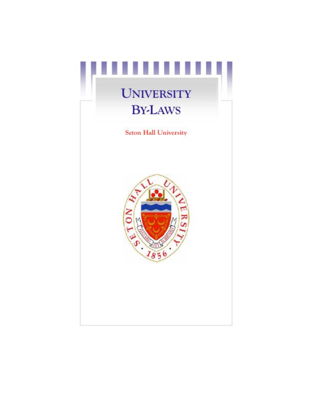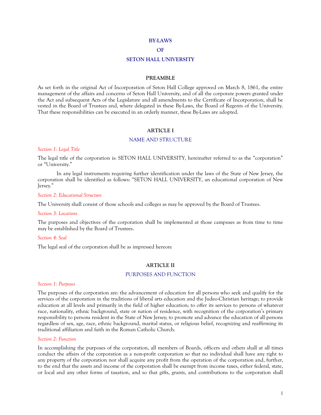#### **BY-LAWS**

### **OF**

#### **SETON HALL UNIVERSITY**

### **PREAMBLE**

As set forth in the original Act of Incorporation of Seton Hall College approved on March 8, 1861, the entire management of the affairs and concerns of Seton Hall University, and of all the corporate powers granted under the Act and subsequent Acts of the Legislature and all amendments to the Certificate of Incorporation, shall be vested in the Board of Trustees and, where delegated in these By-Laws, the Board of Regents of the University. That these responsibilities can be executed in an orderly manner, these By-Laws are adopted.

### **ARTICLE I**

## NAME AND STRUCTURE

#### *Section 1: Legal Title*

The legal title of the corporation is: SETON HALL UNIVERSITY, hereinafter referred to as the "corporation" or "University."

In any legal instruments requiring further identification under the laws of the State of New Jersey, the corporation shall be identified as follows: "SETON HALL UNIVERSITY, an educational corporation of New lersey."

#### *Section 2: Educational Structure*

The University shall consist of those schools and colleges as may be approved by the Board of Trustees.

### *Section 3: Locations*

The purposes and objectives of the corporation shall be implemented at those campuses as from time to time may be established by the Board of Trustees.

#### *Section 4: Seal*

The legal seal of the corporation shall be as impressed hereon:

#### **ARTICLE II**

## PURPOSES AND FUNCTION

#### *Section 1: Purposes*

The purposes of the corporation are: the advancement of education for all persons who seek and qualify for the services of the corporation in the traditions of liberal arts education and the Judeo-Christian heritage; to provide education at all levels and primarily in the field of higher education; to offer its services to persons of whatever race, nationality, ethnic background, state or nation of residence, with recognition of the corporation's primary responsibility to persons resident in the State of New Jersey; to promote and advance the education of all persons regardless of sex, age, race, ethnic background, marital status, or religious belief, recognizing and reaffirming its traditional affiliation and faith in the Roman Catholic Church.

#### *Section 2: Function*

In accomplishing the purposes of the corporation, all members of Boards, officers and others shall at all times conduct the affairs of the corporation as a non-profit corporation so that no individual shall have any right to any property of the corporation nor shall acquire any profit from the operation of the corporation and, further, to the end that the assets and income of the corporation shall be exempt from income taxes, either federal, state, or local and any other forms of taxation, and so that gifts, grants, and contributions to the corporation shall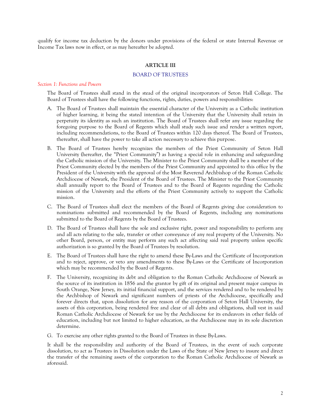qualify for income tax deduction by the donors under provisions of the federal or state Internal Revenue or Income Tax laws now in effect, or as may hereafter be adopted.

# **ARTICLE III**

# BOARD OF TRUSTEES

#### *Section 1: Functions and Powers*

The Board of Trustees shall stand in the stead of the original incorporators of Seton Hall College. The Board of Trustees shall have the following functions, rights, duties, powers and responsibilities:

- A. The Board of Trustees shall maintain the essential character of the University as a Catholic institution of higher learning, it being the stated intention of the University that the University shall retain in perpetuity its identity as such an institution. The Board of Trustees shall refer any issue regarding the foregoing purpose to the Board of Regents which shall study such issue and render a written report, including recommendations, to the Board of Trustees within 120 days thereof. The Board of Trustees, thereafter, shall have the power to take all action necessary to achieve this purpose.
- B. The Board of Trustees hereby recognizes the members of the Priest Community of Seton Hall University (hereafter, the "Priest Community") as having a special role in enhancing and safeguarding the Catholic mission of the University. The Minister to the Priest Community shall be a member of the Priest Community elected by the members of the Priest Community and appointed to this office by the President of the University with the approval of the Most Reverend Archbishop of the Roman Catholic Archdiocese of Newark, the President of the Board of Trustees. The Minister to the Priest Community shall annually report to the Board of Trustees and to the Board of Regents regarding the Catholic mission of the University and the efforts of the Priest Community actively to support the Catholic mission.
- C. The Board of Trustees shall elect the members of the Board of Regents giving due consideration to nominations submitted and recommended by the Board of Regents, including any nominations submitted to the Board of Regents by the Board of Trustees.
- D. The Board of Trustees shall have the sole and exclusive right, power and responsibility to perform any and all acts relating to the sale, transfer or other conveyance of any real property of the University. No other Board, person, or entity may perform any such act affecting said real property unless specific authorization is so granted by the Board of Trustees by resolution.
- E. The Board of Trustees shall have the right to amend these By-Laws and the Certificate of Incorporation and to reject, approve, or veto any amendments to these By-Laws or the Certificate of Incorporation which may be recommended by the Board of Regents.
- F. The University, recognizing its debt and obligation to the Roman Catholic Archdiocese of Newark as the source of its institution in 1856 and the grantor by gift of its original and present major campus in South Orange, New Jersey, its initial financial support, and the services rendered and to be rendered by the Archbishop of Newark and significant numbers of priests of the Archdiocese, specifically and forever directs that, upon dissolution for any reason of the corporation of Seton Hall University, the assets of this corporation, being rendered free and clear of all debts and obligations, shall vest in said Roman Catholic Archdiocese of Newark for use by the Archdiocese for its endeavors in other fields of education, including but not limited to higher education, as the Archdiocese may in its sole discretion determine.
- G. To exercise any other rights granted to the Board of Trustees in these By-Laws.

It shall be the responsibility and authority of the Board of Trustees, in the event of such corporate dissolution, to act as Trustees in Dissolution under the Laws of the State of New Jersey to insure and direct the transfer of the remaining assets of the corporation to the Roman Catholic Archdiocese of Newark as aforesaid.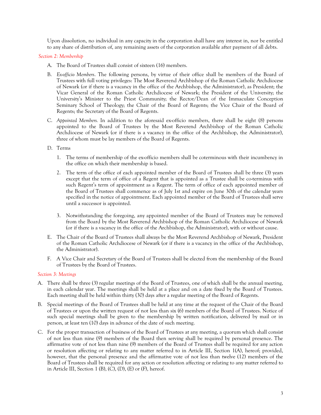Upon dissolution, no individual in any capacity in the corporation shall have any interest in, nor be entitled to any share of distribution of, any remaining assets of the corporation available after payment of all debts.

# *Section 2: Membership*

- A. The Board of Trustees shall consist of sixteen (16) members.
- B. *Ex-officio Members*. The following persons, by virtue of their office shall be members of the Board of Trustees with full voting privileges: The Most Reverend Archbishop of the Roman Catholic Archdiocese of Newark (or if there is a vacancy in the office of the Archbishop, the Administrator), as President; the Vicar General of the Roman Catholic Archdiocese of Newark; the President of the University; the University's Minister to the Priest Community; the Rector/Dean of the Immaculate Conception Seminary School of Theology; the Chair of the Board of Regents; the Vice Chair of the Board of Regents; the Secretary of the Board of Regents.
- C. *Appointed Members.* In addition to the aforesaid ex-officio members, there shall be eight (8) persons appointed to the Board of Trustees by the Most Reverend Archbishop of the Roman Catholic Archdiocese of Newark (or if there is a vacancy in the office of the Archbishop, the Administrator), three of whom must be lay members of the Board of Regents.

# D. Terms

- 1. The terms of membership of the ex-officio members shall be coterminous with their incumbency in the office on which their membership is based.
- 2. The term of the office of each appointed member of the Board of Trustees shall be three (3) years except that the term of office of a Regent that is appointed as a Trustee shall be co-terminus with such Regent's term of appointment as a Regent. The term of office of each appointed member of the Board of Trustees shall commence as of July 1st and expire on June 30th of the calendar years specified in the notice of appointment. Each appointed member of the Board of Trustees shall serve until a successor is appointed.
- 3. Notwithstanding the foregoing, any appointed member of the Board of Trustees may be removed from the Board by the Most Reverend Archbishop of the Roman Catholic Archdiocese of Newark (or if there is a vacancy in the office of the Archbishop, the Administrator), with or without cause.
- E. The Chair of the Board of Trustees shall always be the Most Reverend Archbishop of Newark, President of the Roman Catholic Archdiocese of Newark (or if there is a vacancy in the office of the Archbishop, the Administrator).
- F. A Vice Chair and Secretary of the Board of Trustees shall be elected from the membership of the Board of Trustees by the Board of Trustees.

# *Section 3: Meetings*

- A. There shall be three (3) regular meetings of the Board of Trustees, one of which shall be the annual meeting, in each calendar year. The meetings shall be held at a place and on a date fixed by the Board of Trustees. Each meeting shall be held within thirty (30) days after a regular meeting of the Board of Regents.
- B. Special meetings of the Board of Trustees shall be held at any time at the request of the Chair of the Board of Trustees or upon the written request of not less than six (6) members of the Board of Trustees. Notice of such special meetings shall be given to the membership by written notification, delivered by mail or in person, at least ten (10) days in advance of the date of such meeting.
- C. For the proper transaction of business of the Board of Trustees at any meeting, a quorum which shall consist of not less than nine (9) members of the Board then serving shall be required by personal presence. The affirmative vote of not less than nine (9) members of the Board of Trustees shall be required for any action or resolution affecting or relating to any matter referred to in Article III, Section 1(A), hereof; provided, however, that the personal presence and the affirmative vote of not less than twelve (12) members of the Board of Trustees shall be required for any action or resolution affecting or relating to any matter referred to in Article III, Section 1 (B),  $(C)$ ,  $(D)$ ,  $(E)$  or  $(F)$ , hereof.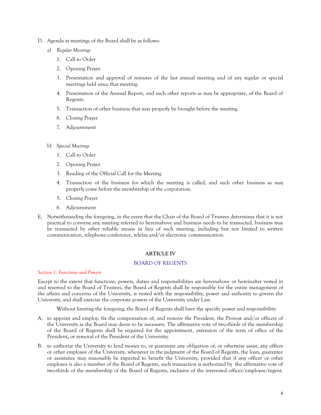- D. Agenda at meetings of the Board shall be as follows:
	- a) *Regular Meetings*
		- 1. Call to Order
		- 2. Opening Prayer
		- 3. Presentation and approval of minutes of the last annual meeting and of any regular or special meetings held since that meeting.
		- 4. Presentation of the Annual Report, and such other reports as may be appropriate, of the Board of Regents.
		- 5. Transaction of other business that may properly be brought before the meeting.
		- 6. Closing Prayer
		- 7. Adjournment
	- b) *Special Meetings*
		- 1. Call to Order
		- 2. Opening Prayer
		- 3. Reading of the Official Call for the Meeting
		- 4. Transaction of the business for which the meeting is called, and such other business as may properly come before the membership of the corporation.
		- 5. Closing Prayer
		- 6. Adjournment
- E. Notwithstanding the foregoing, in the event that the Chair of the Board of Trustees determines that it is not practical to convene any meeting referred to hereinabove and business needs to be transacted, business may be transacted by other reliable means in lieu of such meeting, including but not limited to written communication, telephone conference, telefax and/or electronic communication.

# **ARTICLE IV**

# BOARD OF REGENTS

# *Section 1: Functions and Powers*

Except to the extent that functions, powers, duties and responsibilities are hereinabove or hereinafter vested in and reserved to the Board of Trustees, the Board of Regents shall be responsible for the entire management of the affairs and concerns of the University, is vested with the responsibility, power and authority to govern the University, and shall exercise the corporate powers of the University under Law.

Without limiting the foregoing, the Board of Regents shall have the specific power and responsibility:

- A. to appoint and employ, fix the compensation of, and remove the President, the Provost and/or officers of the University as the Board may deem to be necessary. The affirmative vote of two-thirds of the membership of the Board of Regents shall be required for the appointment, extension of the term of office of the President**,** or removal of the President of the University;
- B. to authorize the University to lend money to, or guarantee any obligation of, or otherwise assist, any officer or other employee of the University, whenever in the judgment of the Board of Regents, the loan, guarantee or assistance may reasonably be expected to benefit the University, provided that if any officer or other employee is also a member of the Board of Regents, such transaction is authorized by the affirmative vote of two-thirds of the membership of the Board of Regents, exclusive of the interested officer/employee/regent.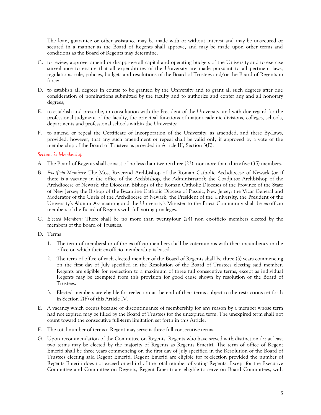The loan, guarantee or other assistance may be made with or without interest and may be unsecured or secured in a manner as the Board of Regents shall approve, and may be made upon other terms and conditions as the Board of Regents may determine.

- C. to review, approve, amend or disapprove all capital and operating budgets of the University and to exercise surveillance to ensure that all expenditures of the University are made pursuant to all pertinent laws, regulations, rule, policies, budgets and resolutions of the Board of Trustees and/or the Board of Regents in force;
- D. to establish all degrees in course to be granted by the University and to grant all such degrees after due consideration of nominations submitted by the faculty and to authorize and confer any and all honorary degrees;
- E. to establish and prescribe, in consultation with the President of the University, and with due regard for the professional judgment of the faculty, the principal functions of major academic divisions, colleges, schools, departments and professional schools within the University;
- F. to amend or repeal the Certificate of Incorporation of the University, as amended, and these By-Laws, provided, however, that any such amendment or repeal shall be valid only if approved by a vote of the membership of the Board of Trustees as provided in Article III, Section 3(E).

# *Section 2: Membership*

- A. The Board of Regents shall consist of no less than twenty-three (23), nor more than thirty-five (35) members.
- B. *Ex-officio Members:* The Most Reverend Archbishop of the Roman Catholic Archdiocese of Newark (or if there is a vacancy in the office of the Archbishop, the Administrator); the Coadjutor Archbishop of the Archdiocese of Newark; the Diocesan Bishops of the Roman Catholic Dioceses of the Province of the State of New Jersey; the Bishop of the Byzantine Catholic Diocese of Passaic, New Jersey; the Vicar General and Moderator of the Curia of the Archdiocese of Newark; the President of the University; the President of the University's Alumni Association; and the University's Minister to the Priest Community shall be ex-officio members of the Board of Regents with full voting privileges.
- C. *Elected Members:* There shall be no more than twenty-four (24) non ex-officio members elected by the members of the Board of Trustees.
- D. Terms
	- 1. The term of membership of the ex-officio members shall be coterminous with their incumbency in the office on which their ex-officio membership is based.
	- 2. The term of office of each elected member of the Board of Regents shall be three (3) years commencing on the first day of July specified in the Resolution of the Board of Trustees electing said member. Regents are eligible for re-election to a maximum of three full consecutive terms, except as individual Regents may be exempted from this provision for good cause shown by resolution of the Board of Trustees.
	- 3. Elected members are eligible for reelection at the end of their terms subject to the restrictions set forth in Section 2(F) of this Article IV.
- E. A vacancy which occurs because of discontinuance of membership for any reason by a member whose term had not expired may be filled by the Board of Trustees for the unexpired term. The unexpired term shall not count toward the consecutive full-term limitation set forth in this Article.
- F. The total number of terms a Regent may serve is three full consecutive terms.
- G. Upon recommendation of the Committee on Regents, Regents who have served with distinction for at least two terms may be elected by the majority of Regents as Regents Emeriti. The term of office of Regent Emeriti shall be three years commencing on the first day of July specified in the Resolution of the Board of Trustees electing said Regent Emeriti. Regent Emeriti are eligible for re-election provided the number of Regents Emeriti does not exceed one-third of the total number of voting Regents. Except for the Executive Committee and Committee on Regents, Regent Emeriti are eligible to serve on Board Committees, with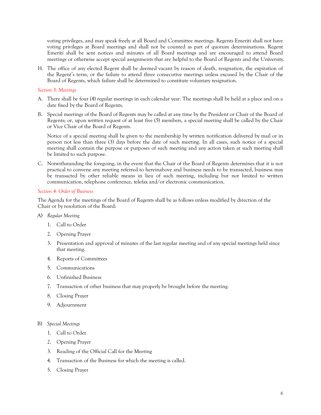voting privileges, and may speak freely at all Board and Committee meetings. Regents Emeriti shall not have voting privileges at Board meetings and shall not be counted as part of quorum determinations. Regent Emeriti shall be sent notices and minutes of all Board meetings and are encouraged to attend Board meetings or otherwise accept special assignments that are helpful to the Board of Regents and the University.

H. The office of any elected Regent shall be deemed vacant by reason of death, resignation, the expiration of the Regent's term, or the failure to attend three consecutive meetings unless excused by the Chair of the Board of Regents, which failure shall be determined to constitute voluntary resignation.

# *Section 3: Meetings*

- A. There shall be four (4) regular meetings in each calendar year. The meetings shall be held at a place and on a date fixed by the Board of Regents.
- B. Special meetings of the Board of Regents may be called at any time by the President or Chair of the Board of Regents; or, upon written request of at least five (5) members, a special meeting shall be called by the Chair or Vice Chair of the Board of Regents.

Notice of a special meeting shall be given to the membership by written notification delivered by mail or in person not less than three (3) days before the date of such meeting. In all cases, such notice of a special meeting shall contain the purpose or purposes of such meeting and any action taken at such meeting shall be limited to such purpose.

C. Notwithstanding the foregoing, in the event that the Chair of the Board of Regents determines that it is not practical to convene any meeting referred to hereinabove and business needs to be transacted, business may be transacted by other reliable means in lieu of such meeting, including but not limited to written communication, telephone conference, telefax and/or electronic communication.

## *Section 4: Order of Business*

The Agenda for the meetings of the Board of Regents shall be as follows unless modified by direction of the Chair or by resolution of the Board:

- A) *Regular Meeting*
	- 1. Call to Order
	- 2. Opening Prayer
	- 3. Presentation and approval of minutes of the last regular meeting and of any special meetings held since that meeting.
	- 4. Reports of Committees
	- 5. Communications
	- 6. Unfinished Business
	- 7. Transaction of other business that may properly be brought before the meeting.
	- 8. Closing Prayer
	- 9. Adjournment
- B) *Special Meetings*
	- 1. Call to Order
	- 2. Opening Prayer
	- 3. Reading of the Official Call for the Meeting
	- 4. Transaction of the Business for which the meeting is called.
	- 5. Closing Prayer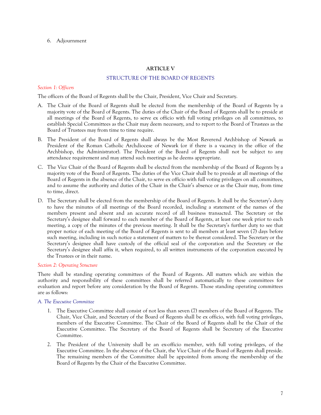6. Adjournment

# **ARTICLE V**

# STRUCTURE OF THE BOARD OF REGENTS

# *Section 1: Officers*

The officers of the Board of Regents shall be the Chair, President, Vice Chair and Secretary.

- A. The Chair of the Board of Regents shall be elected from the membership of the Board of Regents by a majority vote of the Board of Regents. The duties of the Chair of the Board of Regents shall be to preside at all meetings of the Board of Regents, to serve ex officio with full voting privileges on all committees, to establish Special Committees as the Chair may deem necessary, and to report to the Board of Trustees as the Board of Trustees may from time to time require.
- B. The President of the Board of Regents shall always be the Most Reverend Archbishop of Newark as President of the Roman Catholic Archdiocese of Newark (or if there is a vacancy in the office of the Archbishop, the Administrator). The President of the Board of Regents shall not be subject to any attendance requirement and may attend such meetings as he deems appropriate.
- C. The Vice Chair of the Board of Regents shall be elected from the membership of the Board of Regents by a majority vote of the Board of Regents. The duties of the Vice Chair shall be to preside at all meetings of the Board of Regents in the absence of the Chair, to serve ex officio with full voting privileges on all committees, and to assume the authority and duties of the Chair in the Chair's absence or as the Chair may, from time to time, direct.
- D. The Secretary shall be elected from the membership of the Board of Regents. It shall be the Secretary's duty to have the minutes of all meetings of the Board recorded, including a statement of the names of the members present and absent and an accurate record of all business transacted. The Secretary or the Secretary's designee shall forward to each member of the Board of Regents, at least one week prior to each meeting, a copy of the minutes of the previous meeting. It shall be the Secretary's further duty to see that proper notice of each meeting of the Board of Regents is sent to all members at least seven (7) days before such meeting, including in such notice a statement of matters to be thereat considered. The Secretary or the Secretary's designee shall have custody of the official seal of the corporation and the Secretary or the Secretary's designee shall affix it, when required, to all written instruments of the corporation executed by the Trustees or in their name.

# *Section 2: Operating Structure*

There shall be standing operating committees of the Board of Regents. All matters which are within the authority and responsibility of these committees shall be referred automatically to these committees for evaluation and report before any consideration by the Board of Regents. Those standing operating committees are as follows:

# *A. The Executive Committee*

- 1. The Executive Committee shall consist of not less than seven (7) members of the Board of Regents. The Chair, Vice Chair, and Secretary of the Board of Regents shall be ex officio, with full voting privileges, members of the Executive Committee. The Chair of the Board of Regents shall be the Chair of the Executive Committee. The Secretary of the Board of Regents shall be Secretary of the Executive Committee.
- 2. The President of the University shall be an ex-officio member, with full voting privileges, of the Executive Committee. In the absence of the Chair, the Vice Chair of the Board of Regents shall preside. The remaining members of the Committee shall be appointed from among the membership of the Board of Regents by the Chair of the Executive Committee.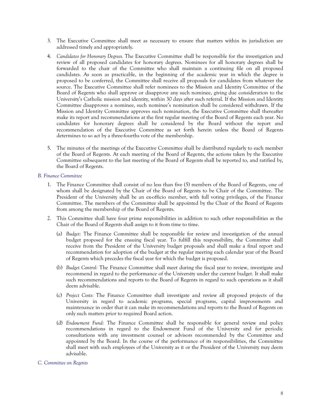- 3. The Executive Committee shall meet as necessary to ensure that matters within its jurisdiction are addressed timely and appropriately.
- 4. *Candidates for Honorary Degrees.* The Executive Committee shall be responsible for the investigation and review of all proposed candidates for honorary degrees. Nominees for all honorary degrees shall be forwarded to the chair of the Committee who shall maintain a continuing file on all proposed candidates. As soon as practicable, in the beginning of the academic year in which the degree is proposed to be conferred, the Committee shall receive all proposals for candidates from whatever the source. The Executive Committee shall refer nominees to the Mission and Identity Committee of the Board of Regents who shall approve or disapprove any such nominee, giving due consideration to the University's Catholic mission and identity, within 30 days after such referral. If the Mission and Identity Committee disapproves a nominee, such nominee's nomination shall be considered withdrawn. If the Mission and Identity Committee approves such nomination, the Executive Committee shall thereafter make its report and recommendations at the first regular meeting of the Board of Regents each year. No candidates for honorary degrees shall be considered by the Board without the report and recommendation of the Executive Committee as set forth herein unless the Board of Regents determines to so act by a three-fourths vote of the membership.
- 5. The minutes of the meetings of the Executive Committee shall be distributed regularly to each member of the Board of Regents. At each meeting of the Board of Regents, the actions taken by the Executive Committee subsequent to the last meeting of the Board of Regents shall be reported to, and ratified by, the Board of Regents.

# *B. Finance Committee*

- 1. The Finance Committee shall consist of no less than five (5) members of the Board of Regents, one of whom shall be designated by the Chair of the Board of Regents to be Chair of the Committee. The President of the University shall be an ex-officio member, with full voting privileges, of the Finance Committee. The members of the Committee shall be appointed by the Chair of the Board of Regents from among the membership of the Board of Regents.
- 2. This Committee shall have four prime responsibilities in addition to such other responsibilities as the Chair of the Board of Regents shall assign to it from time to time.
	- (a) *Budget:* The Finance Committee shall be responsible for review and investigation of the annual budget proposed for the ensuing fiscal year. To fulfill this responsibility, the Committee shall receive from the President of the University budget proposals and shall make a final report and recommendation for adoption of the budget at the regular meeting each calendar year of the Board of Regents which precedes the fiscal year for which the budget is proposed.
	- (b) *Budget Control:* The Finance Committee shall meet during the fiscal year to review, investigate and recommend in regard to the performance of the University under the current budget. It shall make such recommendations and reports to the Board of Regents in regard to such operations as it shall deem advisable.
	- (c) *Project Costs:* The Finance Committee shall investigate and review all proposed projects of the University in regard to academic programs, special programs, capital improvements and maintenance in order that it can make its recommendations and reports to the Board of Regents on only such matters prior to required Board action.
	- (d) *Endowment Fund:* The Finance Committee shall be responsible for general review and policy recommendations in regard to the Endowment Fund of the University and for periodic consultations with any investment counsel or advisors recommended by the Committee and appointed by the Board. In the course of the performance of its responsibilities, the Committee shall meet with such employees of the University as it or the President of the University may deem advisable.

# *C. Committee on Regents*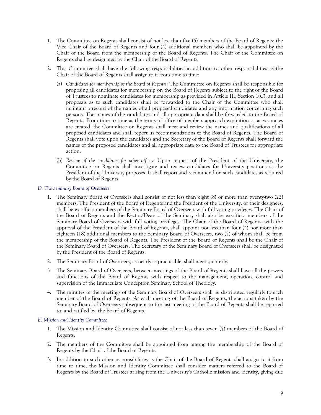- 1. The Committee on Regents shall consist of not less than five (5) members of the Board of Regents: the Vice Chair of the Board of Regents and four (4) additional members who shall be appointed by the Chair of the Board from the membership of the Board of Regents. The Chair of the Committee on Regents shall be designated by the Chair of the Board of Regents.
- 2. This Committee shall have the following responsibilities in addition to other responsibilities as the Chair of the Board of Regents shall assign to it from time to time:
	- (a) *Candidates for membership of the Board of Regents:* The Committee on Regents shall be responsible for proposing all candidates for membership on the Board of Regents subject to the right of the Board of Trustees to nominate candidates for membership as provided in Article III, Section 1(C); and all proposals as to such candidates shall be forwarded to the Chair of the Committee who shall maintain a record of the names of all proposed candidates and any information concerning such persons. The names of the candidates and all appropriate data shall be forwarded to the Board of Regents. From time to time as the terms of office of members approach expiration or as vacancies are created, the Committee on Regents shall meet and review the names and qualifications of all proposed candidates and shall report its recommendations to the Board of Regents. The Board of Regents shall vote upon the candidates and the Secretary of the Board of Regents shall forward the names of the proposed candidates and all appropriate data to the Board of Trustees for appropriate action.
	- (b) *Review of the candidates for other offices:* Upon request of the President of the University, the Committee on Regents shall investigate and review candidates for University positions as the President of the University proposes. It shall report and recommend on such candidates as required by the Board of Regents.

# *D. The Seminary Board of Overseers*

- 1. The Seminary Board of Overseers shall consist of not less than eight (8) or more than twenty-two (22) members. The President of the Board of Regents and the President of the University, or their designees, shall be ex-officio members of the Seminary Board of Overseers with full voting privileges. The Chair of the Board of Regents and the Rector/Dean of the Seminary shall also be ex-officio members of the Seminary Board of Overseers with full voting privileges. The Chair of the Board of Regents, with the approval of the President of the Board of Regents, shall appoint not less than four (4) nor more than eighteen (18) additional members to the Seminary Board of Overseers, two (2) of whom shall be from the membership of the Board of Regents. The President of the Board of Regents shall be the Chair of the Seminary Board of Overseers. The Secretary of the Seminary Board of Overseers shall be designated by the President of the Board of Regents.
- 2. The Seminary Board of Overseers, as nearly as practicable, shall meet quarterly.
- 3. The Seminary Board of Overseers, between meetings of the Board of Regents shall have all the powers and functions of the Board of Regents with respect to the management, operation, control and supervision of the Immaculate Conception Seminary School of Theology.
- 4. The minutes of the meetings of the Seminary Board of Overseers shall be distributed regularly to each member of the Board of Regents. At each meeting of the Board of Regents, the actions taken by the Seminary Board of Overseers subsequent to the last meeting of the Board of Regents shall be reported to, and ratified by, the Board of Regents.

# *E. Mission and Identity Committee*

- 1. The Mission and Identity Committee shall consist of not less than seven (7) members of the Board of Regents.
- 2. The members of the Committee shall be appointed from among the membership of the Board of Regents by the Chair of the Board of Regents.
- 3. In addition to such other responsibilities as the Chair of the Board of Regents shall assign to it from time to time, the Mission and Identity Committee shall consider matters referred to the Board of Regents by the Board of Trustees arising from the University's Catholic mission and identity, giving due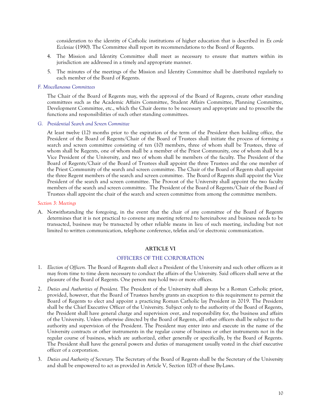consideration to the identity of Catholic institutions of higher education that is described in *Ex corde Ecclesiae* (1990). The Committee shall report its recommendations to the Board of Regents.

- 4. The Mission and Identity Committee shall meet as necessary to ensure that matters within its jurisdiction are addressed in a timely and appropriate manner.
- 5. The minutes of the meetings of the Mission and Identity Committee shall be distributed regularly to each member of the Board of Regents.

### *F. Miscellaneous Committees*

The Chair of the Board of Regents may, with the approval of the Board of Regents, create other standing committees such as the Academic Affairs Committee, Student Affairs Committee, Planning Committee, Development Committee, etc., which the Chair deems to be necessary and appropriate and to prescribe the functions and responsibilities of such other standing committees.

### *G. Presidential Search and Screen Committee*

At least twelve (12) months prior to the expiration of the term of the President then holding office, the President of the Board of Regents/Chair of the Board of Trustees shall initiate the process of forming a search and screen committee consisting of ten (10) members, three of whom shall be Trustees, three of whom shall be Regents, one of whom shall be a member of the Priest Community, one of whom shall be a Vice President of the University, and two of whom shall be members of the faculty. The President of the Board of Regents/Chair of the Board of Trustees shall appoint the three Trustees and the one member of the Priest Community of the search and screen committee. The Chair of the Board of Regents shall appoint the three Regent members of the search and screen committee. The Board of Regents shall appoint the Vice President of the search and screen committee. The Provost of the University shall appoint the two faculty members of the search and screen committee. The President of the Board of Regents/Chair of the Board of Trustees shall appoint the chair of the search and screen committee from among the committee members.

## *Section 3: Meetings*

A. Notwithstanding the foregoing, in the event that the chair of any committee of the Board of Regents determines that it is not practical to convene any meeting referred to hereinabove and business needs to be transacted, business may be transacted by other reliable means in lieu of such meeting, including but not limited to written communication, telephone conference, telefax and/or electronic communication.

# **ARTICLE VI**

# OFFICERS OF THE CORPORATION

- 1. *Election of Officers.* The Board of Regents shall elect a President of the University and such other officers as it may from time to time deem necessary to conduct the affairs of the University. Said officers shall serve at the pleasure of the Board of Regents. One person may hold two or more offices.
- 2. *Duties and Authorities of President.* The President of the University shall always be a Roman Catholic priest, provided, however, that the Board of Trustees hereby grants an exception to this requirement to permit the Board of Regents to elect and appoint a practicing Roman Catholic lay President in 2019. The President shall be the Chief Executive Officer of the University. Subject only to the authority of the Board of Regents, the President shall have general charge and supervision over, and responsibility for, the business and affairs of the University. Unless otherwise directed by the Board of Regents, all other officers shall be subject to the authority and supervision of the President. The President may enter into and execute in the name of the University contracts or other instruments in the regular course of business or other instruments not in the regular course of business, which are authorized, either generally or specifically, by the Board of Regents. The President shall have the general powers and duties of management usually vested in the chief executive officer of a corporation.
- 3. *Duties and Authority of Secretary.* The Secretary of the Board of Regents shall be the Secretary of the University and shall be empowered to act as provided in Article V, Section 1(D) of these By-Laws.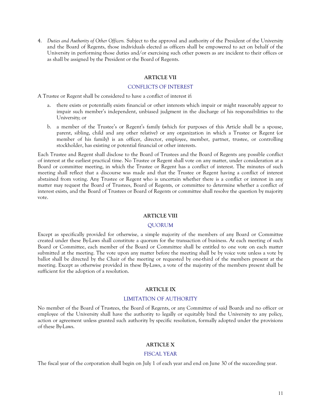4. *Duties and Authority of Other Officers.* Subject to the approval and authority of the President of the University and the Board of Regents, those individuals elected as officers shall be empowered to act on behalf of the University in performing those duties and/or exercising such other powers as are incident to their offices or as shall be assigned by the President or the Board of Regents.

### **ARTICLE VII**

### CONFLICTS OF INTEREST

A Trustee or Regent shall be considered to have a conflict of interest if:

- a. there exists or potentially exists financial or other interests which impair or might reasonably appear to impair such member's independent, unbiased judgment in the discharge of his responsibilities to the University; or
- b. a member of the Trustee's or Regent's family (which for purposes of this Article shall be a spouse, parent, sibling, child and any other relative) or any organization in which a Trustee or Regent (or member of his family) is an officer, director, employee, member, partner, trustee, or controlling stockholder, has existing or potential financial or other interests.

Each Trustee and Regent shall disclose to the Board of Trustees and the Board of Regents any possible conflict of interest at the earliest practical time. No Trustee or Regent shall vote on any matter, under consideration at a Board or committee meeting, in which the Trustee or Regent has a conflict of interest. The minutes of such meeting shall reflect that a discourse was made and that the Trustee or Regent having a conflict of interest abstained from voting. Any Trustee or Regent who is uncertain whether there is a conflict or interest in any matter may request the Board of Trustees, Board of Regents, or committee to determine whether a conflict of interest exists, and the Board of Trustees or Board of Regents or committee shall resolve the question by majority vote.

## **ARTICLE VIII**

# QUORUM

Except as specifically provided for otherwise, a simple majority of the members of any Board or Committee created under these By-Laws shall constitute a quorum for the transaction of business. At each meeting of such Board or Committee, each member of the Board or Committee shall be entitled to one vote on each matter submitted at the meeting. The vote upon any matter before the meeting shall be by voice vote unless a vote by ballot shall be directed by the Chair of the meeting or requested by one-third of the members present at the meeting. Except as otherwise provided in these By-Laws, a vote of the majority of the members present shall be sufficient for the adoption of a resolution.

## **ARTICLE IX**

#### LIMITATION OF AUTHORITY

No member of the Board of Trustees, the Board of Regents, or any Committee of said Boards and no officer or employee of the University shall have the authority to legally or equitably bind the University to any policy, action or agreement unless granted such authority by specific resolution, formally adopted under the provisions of these By-Laws.

#### **ARTICLE X**

### FISCAL YEAR

The fiscal year of the corporation shall begin on July 1 of each year and end on June 30 of the succeeding year.